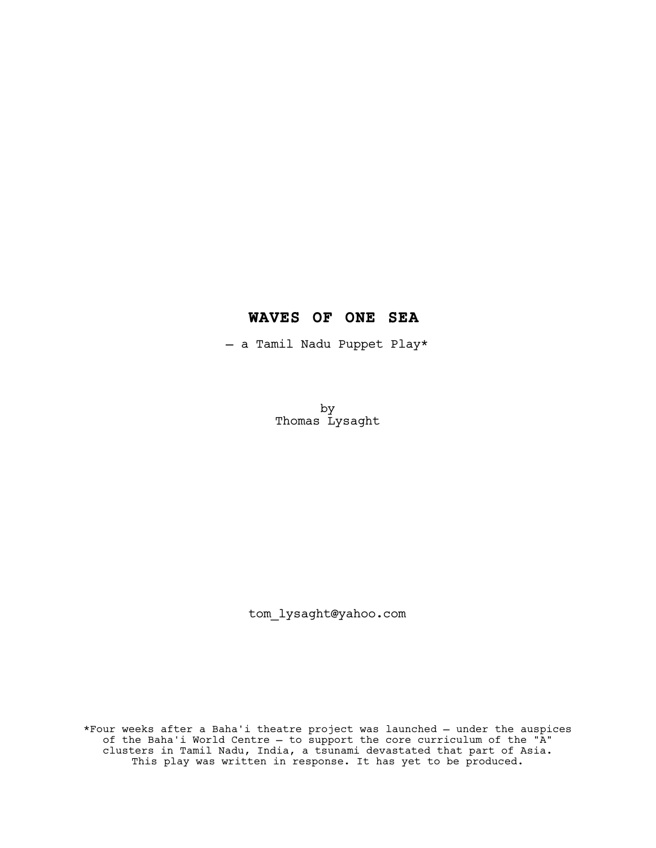# **WAVES OF ONE SEA**

— a Tamil Nadu Puppet Play\*

by Thomas Lysaght

tom\_lysaght@yahoo.com

\*Four weeks after a Baha'i theatre project was launched — under the auspices of the Baha'i World Centre — to support the core curriculum of the "A" clusters in Tamil Nadu, India, a tsunami devastated that part of Asia. This play was written in response. It has yet to be produced.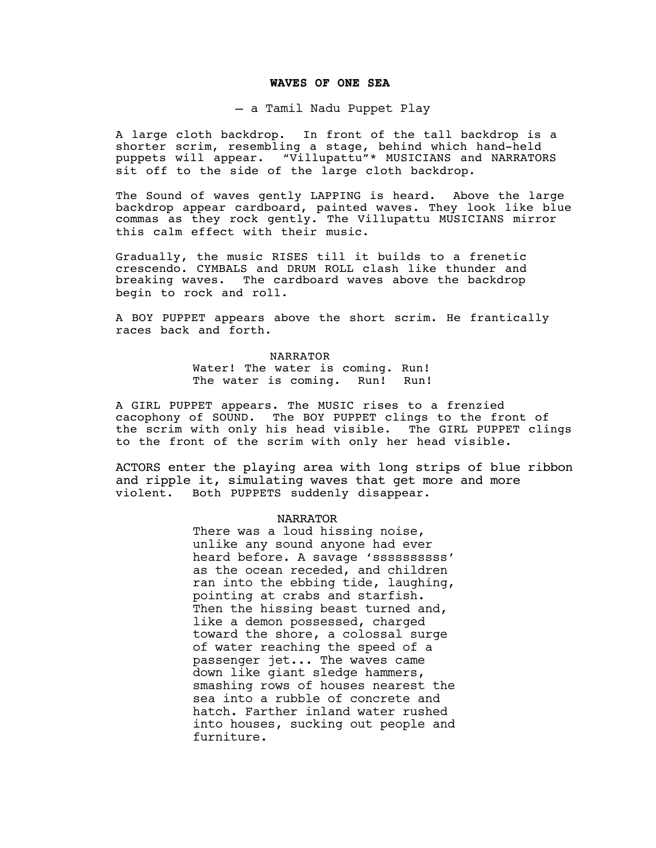### **WAVES OF ONE SEA**

— a Tamil Nadu Puppet Play

A large cloth backdrop. In front of the tall backdrop is a shorter scrim, resembling a stage, behind which hand-held puppets will appear. "Villupattu"\* MUSICIANS and NARRATORS sit off to the side of the large cloth backdrop.

The Sound of waves gently LAPPING is heard. Above the large backdrop appear cardboard, painted waves. They look like blue commas as they rock gently. The Villupattu MUSICIANS mirror this calm effect with their music.

Gradually, the music RISES till it builds to a frenetic crescendo. CYMBALS and DRUM ROLL clash like thunder and breaking waves. The cardboard waves above the backdrop begin to rock and roll.

A BOY PUPPET appears above the short scrim. He frantically races back and forth.

> NARRATOR Water! The water is coming. Run! The water is coming. Run! Run!

A GIRL PUPPET appears. The MUSIC rises to a frenzied cacophony of SOUND. The BOY PUPPET clings to the front of the scrim with only his head visible. The GIRL PUPPET clings to the front of the scrim with only her head visible.

ACTORS enter the playing area with long strips of blue ribbon and ripple it, simulating waves that get more and more violent. Both PUPPETS suddenly disappear.

## NARRATOR

There was a loud hissing noise, unlike any sound anyone had ever heard before. A savage 'ssssssssss' as the ocean receded, and children ran into the ebbing tide, laughing, pointing at crabs and starfish. Then the hissing beast turned and, like a demon possessed, charged toward the shore, a colossal surge of water reaching the speed of a passenger jet... The waves came down like giant sledge hammers, smashing rows of houses nearest the sea into a rubble of concrete and hatch. Farther inland water rushed into houses, sucking out people and furniture.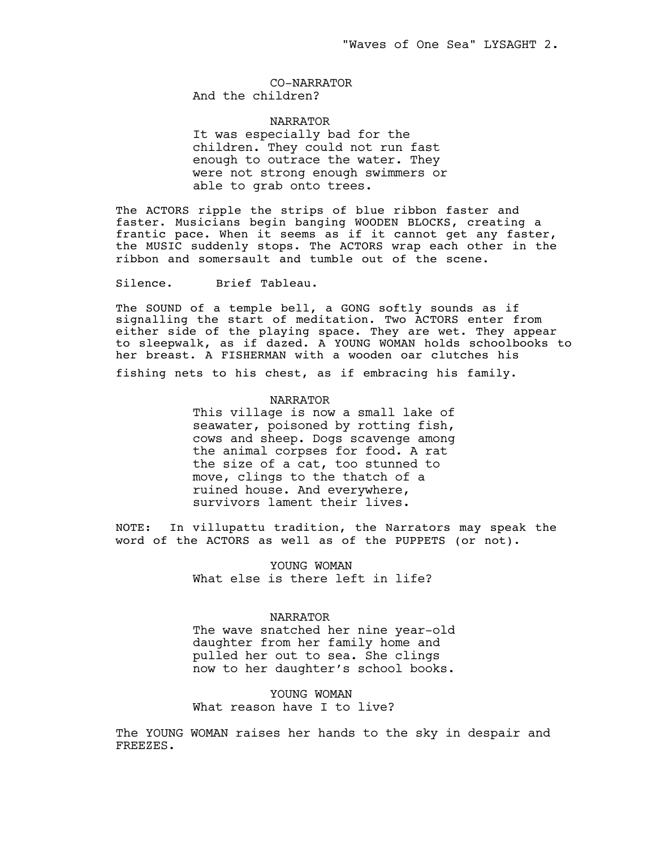CO-NARRATOR And the children?

NARRATOR It was especially bad for the children. They could not run fast

enough to outrace the water. They were not strong enough swimmers or able to grab onto trees.

The ACTORS ripple the strips of blue ribbon faster and faster. Musicians begin banging WOODEN BLOCKS, creating a frantic pace. When it seems as if it cannot get any faster, the MUSIC suddenly stops. The ACTORS wrap each other in the ribbon and somersault and tumble out of the scene.

Silence. Brief Tableau.

The SOUND of a temple bell, a GONG softly sounds as if signalling the start of meditation. Two ACTORS enter from either side of the playing space. They are wet. They appear to sleepwalk, as if dazed. A YOUNG WOMAN holds schoolbooks to her breast. A FISHERMAN with a wooden oar clutches his fishing nets to his chest, as if embracing his family.

NARRATOR

This village is now a small lake of seawater, poisoned by rotting fish, cows and sheep. Dogs scavenge among the animal corpses for food. A rat the size of a cat, too stunned to move, clings to the thatch of a ruined house. And everywhere, survivors lament their lives.

NOTE: In villupattu tradition, the Narrators may speak the word of the ACTORS as well as of the PUPPETS (or not).

> YOUNG WOMAN What else is there left in life?

## NARRATOR

The wave snatched her nine year-old daughter from her family home and pulled her out to sea. She clings now to her daughter's school books.

YOUNG WOMAN What reason have I to live?

The YOUNG WOMAN raises her hands to the sky in despair and FREEZES.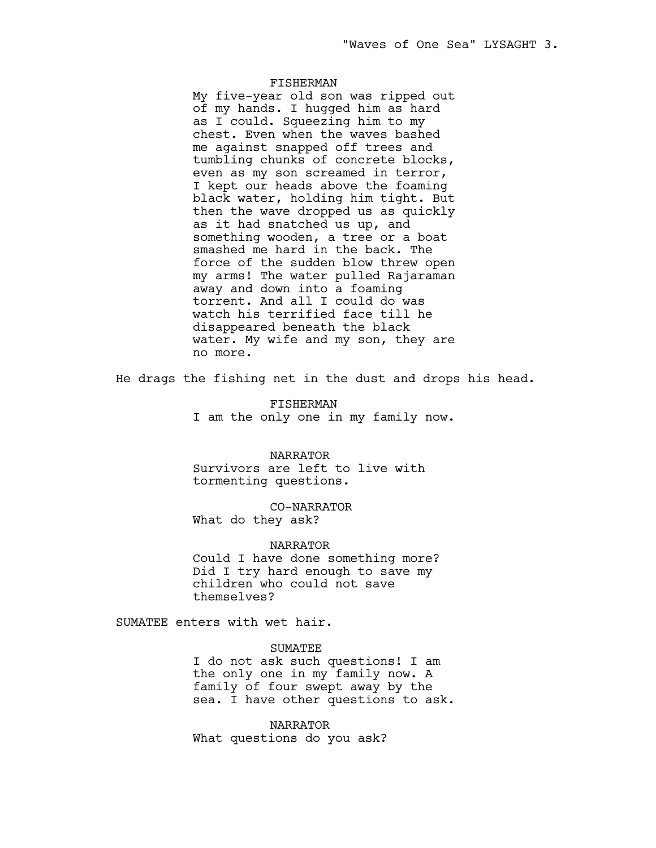# FISHERMAN

My five-year old son was ripped out of my hands. I hugged him as hard as I could. Squeezing him to my chest. Even when the waves bashed me against snapped off trees and tumbling chunks of concrete blocks, even as my son screamed in terror, I kept our heads above the foaming black water, holding him tight. But then the wave dropped us as quickly as it had snatched us up, and something wooden, a tree or a boat smashed me hard in the back. The force of the sudden blow threw open my arms! The water pulled Rajaraman away and down into a foaming torrent. And all I could do was watch his terrified face till he disappeared beneath the black water. My wife and my son, they are no more.

He drags the fishing net in the dust and drops his head.

FISHERMAN I am the only one in my family now.

NARRATOR Survivors are left to live with tormenting questions.

CO-NARRATOR What do they ask?

#### NARRATOR

Could I have done something more? Did I try hard enough to save my children who could not save themselves?

SUMATEE enters with wet hair.

## **SUMATEE**

I do not ask such questions! I am the only one in my family now. A family of four swept away by the sea. I have other questions to ask.

NARRATOR What questions do you ask?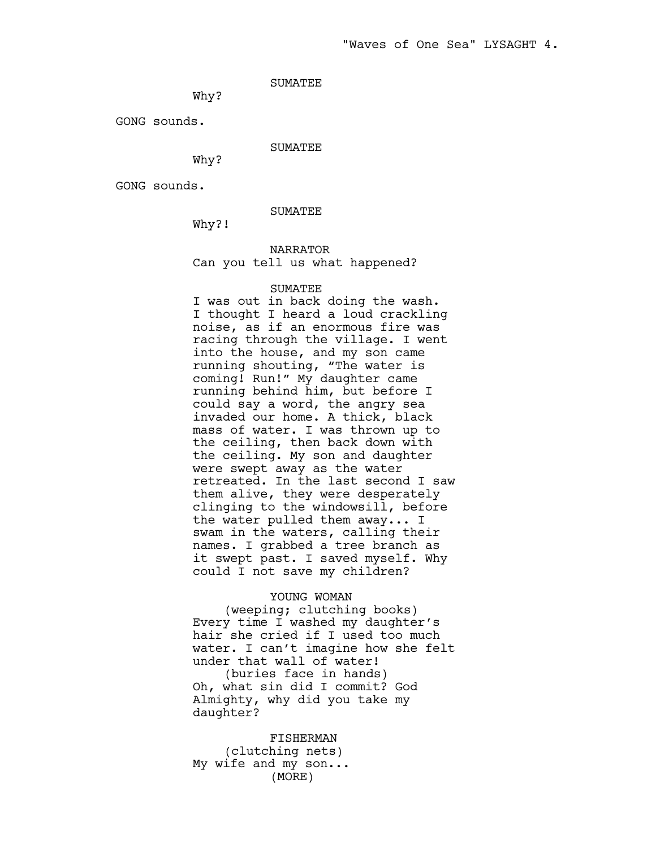# SUMATEE

Why?

GONG sounds.

# SUMATEE

Why?

GONG sounds.

# SUMATEE

Why?!

# NARRATOR Can you tell us what happened?

## SUMATEE

I was out in back doing the wash. I thought I heard a loud crackling noise, as if an enormous fire was racing through the village. I went into the house, and my son came running shouting, "The water is coming! Run!" My daughter came running behind him, but before I could say a word, the angry sea invaded our home. A thick, black mass of water. I was thrown up to the ceiling, then back down with the ceiling. My son and daughter were swept away as the water retreated. In the last second I saw them alive, they were desperately clinging to the windowsill, before the water pulled them away... I swam in the waters, calling their names. I grabbed a tree branch as it swept past. I saved myself. Why could I not save my children?

# YOUNG WOMAN

(weeping; clutching books) Every time I washed my daughter's hair she cried if I used too much water. I can't imagine how she felt under that wall of water! (buries face in hands) Oh, what sin did I commit? God Almighty, why did you take my daughter?

FISHERMAN

(clutching nets) My wife and my son... (MORE)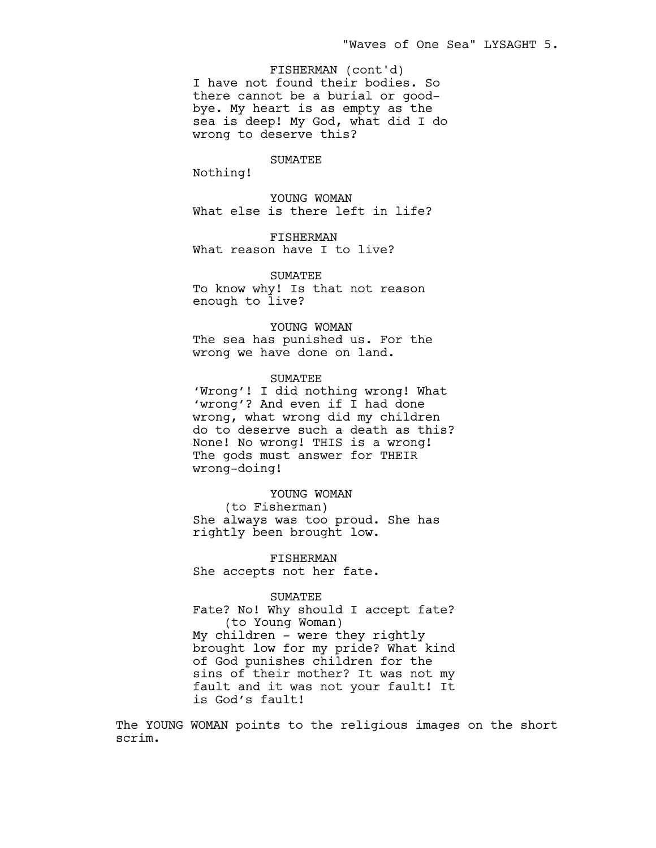I have not found their bodies. So there cannot be a burial or goodbye. My heart is as empty as the sea is deep! My God, what did I do wrong to deserve this? FISHERMAN (cont'd)

SUMATEE

Nothing!

YOUNG WOMAN What else is there left in life?

FISHERMAN What reason have I to live?

SUMATEE To know why! Is that not reason enough to live?

YOUNG WOMAN The sea has punished us. For the wrong we have done on land.

SUMATEE 'Wrong'! I did nothing wrong! What 'wrong'? And even if I had done wrong, what wrong did my children do to deserve such a death as this?

None! No wrong! THIS is a wrong! The gods must answer for THEIR wrong-doing!

YOUNG WOMAN (to Fisherman) She always was too proud. She has rightly been brought low.

FISHERMAN She accepts not her fate.

## SUMATEE

Fate? No! Why should I accept fate? (to Young Woman) My children – were they rightly brought low for my pride? What kind of God punishes children for the sins of their mother? It was not my fault and it was not your fault! It is God's fault!

The YOUNG WOMAN points to the religious images on the short scrim.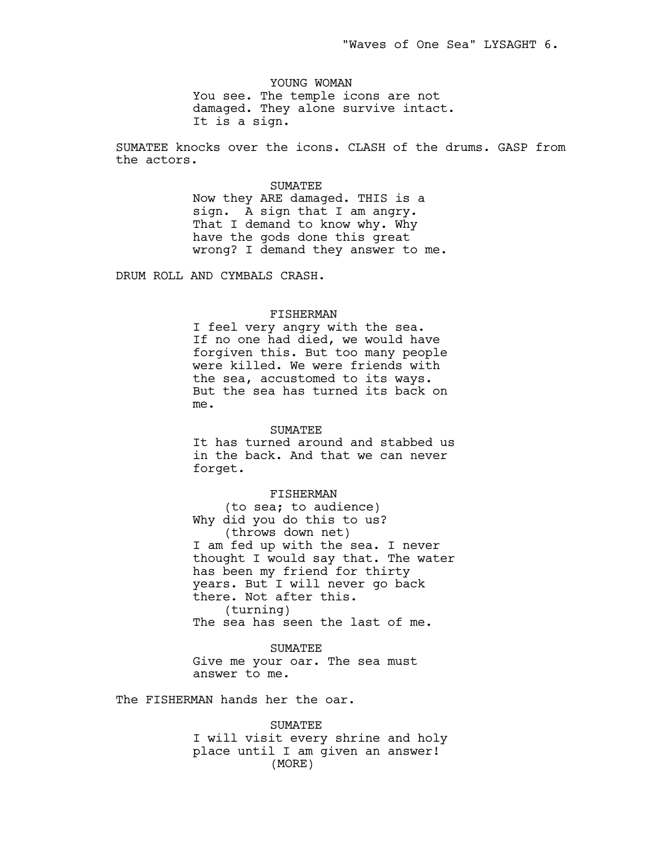YOUNG WOMAN You see. The temple icons are not damaged. They alone survive intact. It is a sign.

SUMATEE knocks over the icons. CLASH of the drums. GASP from the actors.

# SUMATEE

Now they ARE damaged. THIS is a sign. A sign that I am angry. That I demand to know why. Why have the gods done this great wrong? I demand they answer to me.

DRUM ROLL AND CYMBALS CRASH.

#### FISHERMAN

I feel very angry with the sea. If no one had died, we would have forgiven this. But too many people were killed. We were friends with the sea, accustomed to its ways. But the sea has turned its back on me.

## SUMATEE

It has turned around and stabbed us in the back. And that we can never forget.

#### FISHERMAN

(to sea; to audience) Why did you do this to us? (throws down net) I am fed up with the sea. I never thought I would say that. The water has been my friend for thirty years. But I will never go back there. Not after this. (turning) The sea has seen the last of me.

SUMATEE Give me your oar. The sea must

answer to me.

The FISHERMAN hands her the oar.

SUMATEE I will visit every shrine and holy place until I am given an answer! (MORE)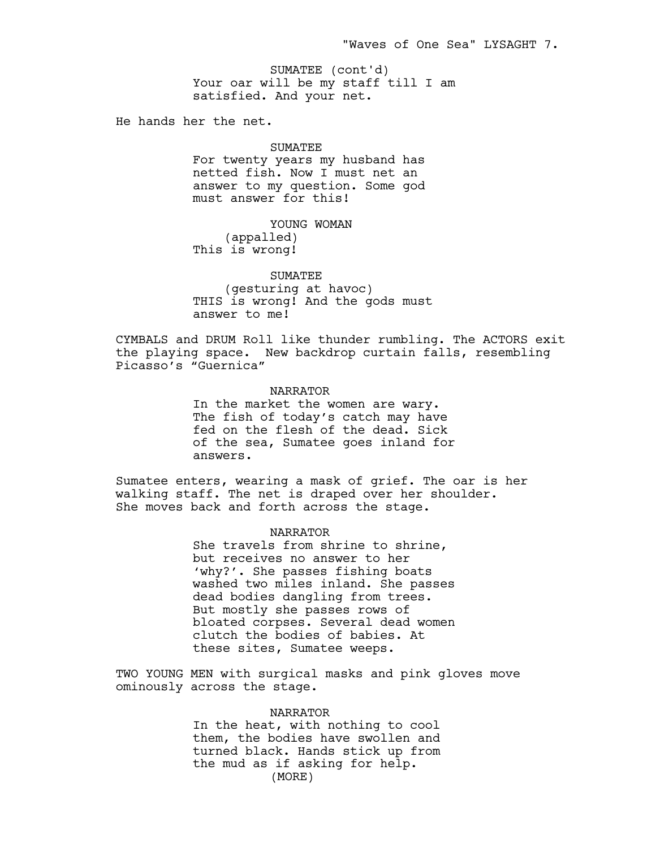Your oar will be my staff till I am satisfied. And your net. SUMATEE (cont'd)

He hands her the net.

# SUMATEE

For twenty years my husband has netted fish. Now I must net an answer to my question. Some god must answer for this!

# YOUNG WOMAN (appalled)

This is wrong!

# SUMATEE

(gesturing at havoc) THIS is wrong! And the gods must answer to me!

CYMBALS and DRUM Roll like thunder rumbling. The ACTORS exit the playing space. New backdrop curtain falls, resembling Picasso's "Guernica"

# NARRATOR

In the market the women are wary. The fish of today's catch may have fed on the flesh of the dead. Sick of the sea, Sumatee goes inland for answers.

Sumatee enters, wearing a mask of grief. The oar is her walking staff. The net is draped over her shoulder. She moves back and forth across the stage.

## NARRATOR

She travels from shrine to shrine, but receives no answer to her 'why?'. She passes fishing boats washed two miles inland. She passes dead bodies dangling from trees. But mostly she passes rows of bloated corpses. Several dead women clutch the bodies of babies. At these sites, Sumatee weeps.

TWO YOUNG MEN with surgical masks and pink gloves move ominously across the stage.

# NARRATOR

In the heat, with nothing to cool them, the bodies have swollen and turned black. Hands stick up from the mud as if asking for help. (MORE)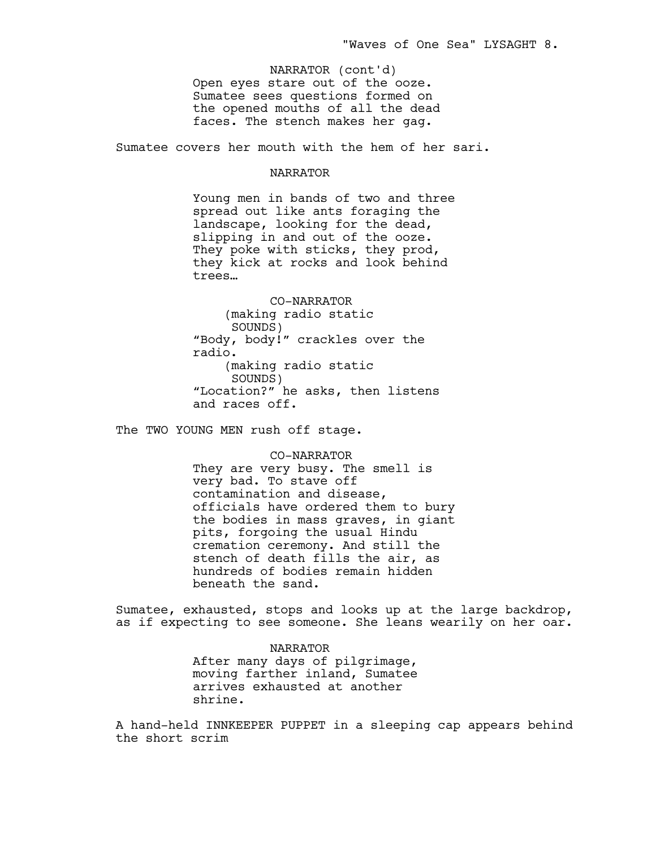Open eyes stare out of the ooze. Sumatee sees questions formed on the opened mouths of all the dead faces. The stench makes her gag. NARRATOR (cont'd)

Sumatee covers her mouth with the hem of her sari.

## NARRATOR

Young men in bands of two and three spread out like ants foraging the landscape, looking for the dead, slipping in and out of the ooze. They poke with sticks, they prod, they kick at rocks and look behind trees…

CO-NARRATOR (making radio static SOUNDS) "Body, body!" crackles over the radio. (making radio static SOUNDS) "Location?" he asks, then listens and races off.

The TWO YOUNG MEN rush off stage.

CO-NARRATOR They are very busy. The smell is very bad. To stave off contamination and disease, officials have ordered them to bury the bodies in mass graves, in giant pits, forgoing the usual Hindu cremation ceremony. And still the stench of death fills the air, as hundreds of bodies remain hidden beneath the sand.

Sumatee, exhausted, stops and looks up at the large backdrop, as if expecting to see someone. She leans wearily on her oar.

> NARRATOR After many days of pilgrimage, moving farther inland, Sumatee arrives exhausted at another shrine.

A hand-held INNKEEPER PUPPET in a sleeping cap appears behind the short scrim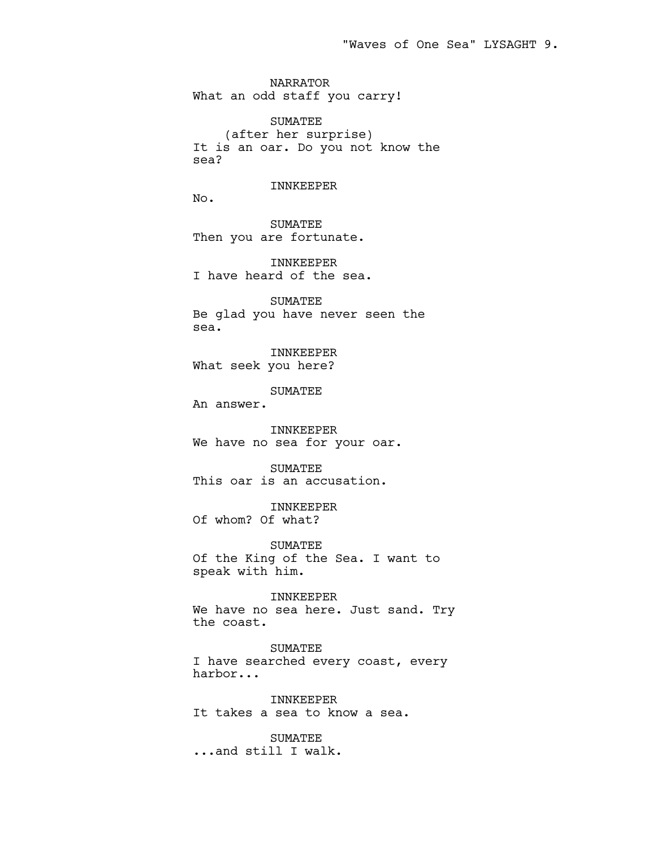NARRATOR What an odd staff you carry!

SUMATEE (after her surprise) It is an oar. Do you not know the sea?

# INNKEEPER

No.

SUMATEE Then you are fortunate.

INNKEEPER I have heard of the sea.

SUMATEE Be glad you have never seen the sea.

INNKEEPER What seek you here?

SUMATEE

An answer.

INNKEEPER We have no sea for your oar.

SUMATEE This oar is an accusation.

INNKEEPER Of whom? Of what?

SUMATEE Of the King of the Sea. I want to speak with him.

INNKEEPER We have no sea here. Just sand. Try the coast.

SUMATEE I have searched every coast, every harbor...

INNKEEPER It takes a sea to know a sea.

**SUMATEE** ...and still I walk.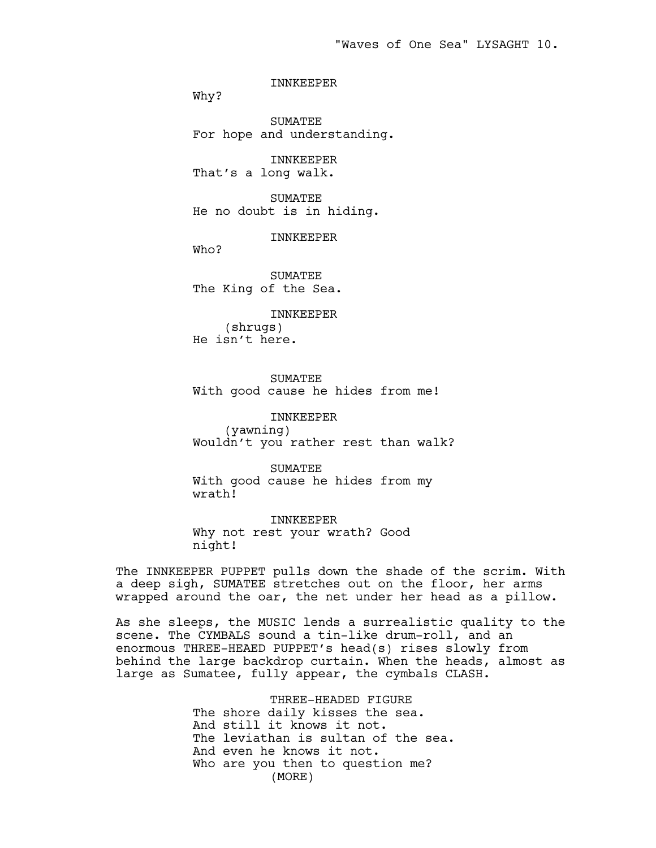INNKEEPER

Why?

SUMATEE For hope and understanding.

INNKEEPER That's a long walk.

SUMATEE He no doubt is in hiding.

INNKEEPER

Who?

SUMATEE The King of the Sea.

INNKEEPER (shrugs) He isn't here.

SUMATEE With good cause he hides from me!

INNKEEPER (yawning) Wouldn't you rather rest than walk?

SUMATEE With good cause he hides from my wrath!

INNKEEPER Why not rest your wrath? Good night!

The INNKEEPER PUPPET pulls down the shade of the scrim. With a deep sigh, SUMATEE stretches out on the floor, her arms wrapped around the oar, the net under her head as a pillow.

As she sleeps, the MUSIC lends a surrealistic quality to the scene. The CYMBALS sound a tin-like drum-roll, and an enormous THREE-HEAED PUPPET's head(s) rises slowly from behind the large backdrop curtain. When the heads, almost as large as Sumatee, fully appear, the cymbals CLASH.

> THREE-HEADED FIGURE The shore daily kisses the sea. And still it knows it not. The leviathan is sultan of the sea. And even he knows it not. Who are you then to question me? (MORE)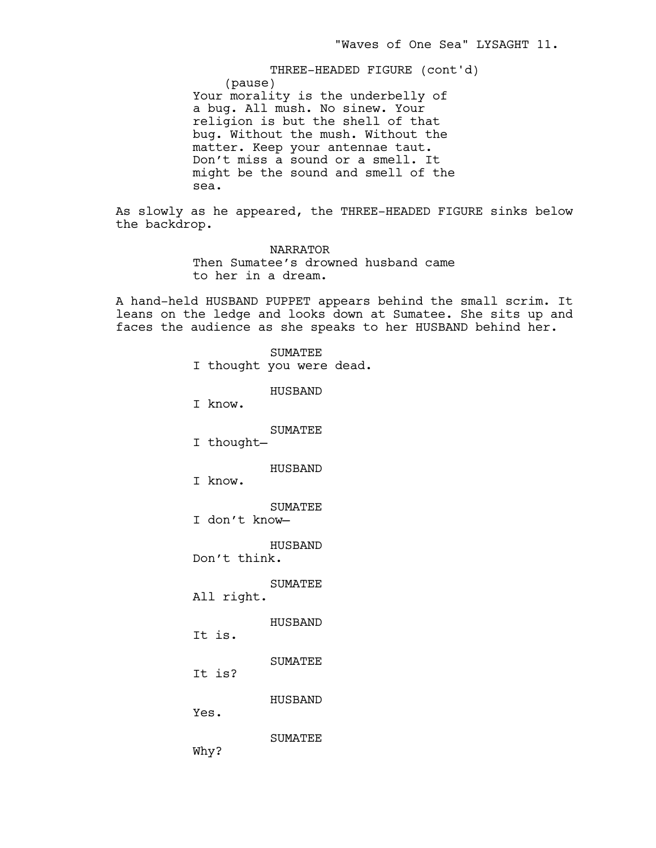(pause) Your morality is the underbelly of a bug. All mush. No sinew. Your religion is but the shell of that bug. Without the mush. Without the matter. Keep your antennae taut. Don't miss a sound or a smell. It might be the sound and smell of the sea. THREE-HEADED FIGURE (cont'd)

As slowly as he appeared, the THREE-HEADED FIGURE sinks below the backdrop.

> NARRATOR Then Sumatee's drowned husband came to her in a dream.

A hand-held HUSBAND PUPPET appears behind the small scrim. It leans on the ledge and looks down at Sumatee. She sits up and faces the audience as she speaks to her HUSBAND behind her.

> SUMATEE I thought you were dead. HUSBAND I know. SUMATEE I thought— HUSBAND I know. SUMATEE I don't know— HUSBAND Don't think. SUMATEE All right. HUSBAND It is. SUMATEE It is? HUSBAND Yes. SUMATEE Why?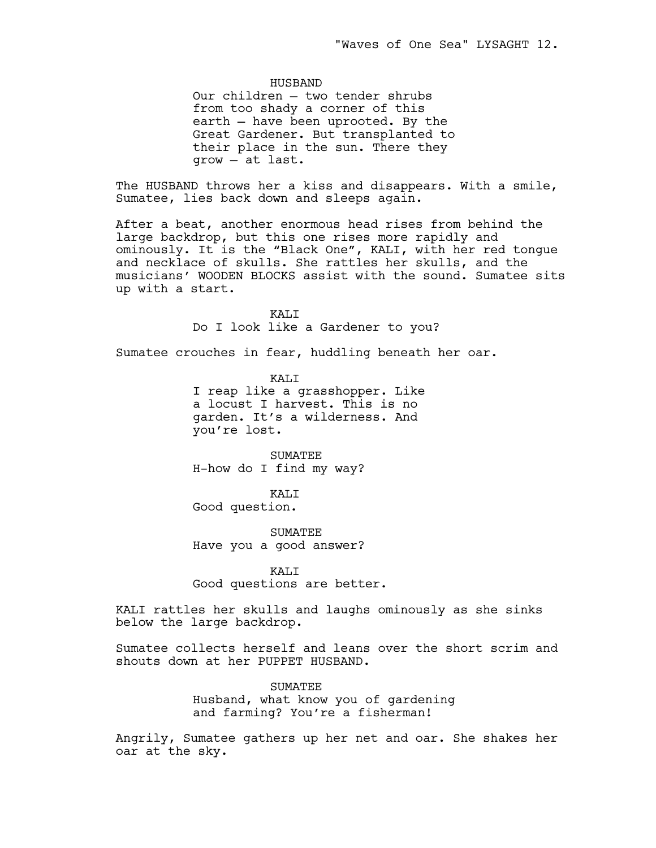## HUSBAND

Our children — two tender shrubs from too shady a corner of this earth — have been uprooted. By the Great Gardener. But transplanted to their place in the sun. There they grow — at last.

The HUSBAND throws her a kiss and disappears. With a smile, Sumatee, lies back down and sleeps again.

After a beat, another enormous head rises from behind the large backdrop, but this one rises more rapidly and ominously. It is the "Black One", KALI, with her red tongue and necklace of skulls. She rattles her skulls, and the musicians' WOODEN BLOCKS assist with the sound. Sumatee sits up with a start.

> KALI Do I look like a Gardener to you?

Sumatee crouches in fear, huddling beneath her oar.

KALI I reap like a grasshopper. Like a locust I harvest. This is no garden. It's a wilderness. And you're lost.

SUMATEE H-how do I find my way?

KALI Good question.

**SUMATEE** Have you a good answer?

KALI Good questions are better.

KALI rattles her skulls and laughs ominously as she sinks below the large backdrop.

Sumatee collects herself and leans over the short scrim and shouts down at her PUPPET HUSBAND.

> **SUMATEE** Husband, what know you of gardening and farming? You're a fisherman!

Angrily, Sumatee gathers up her net and oar. She shakes her oar at the sky.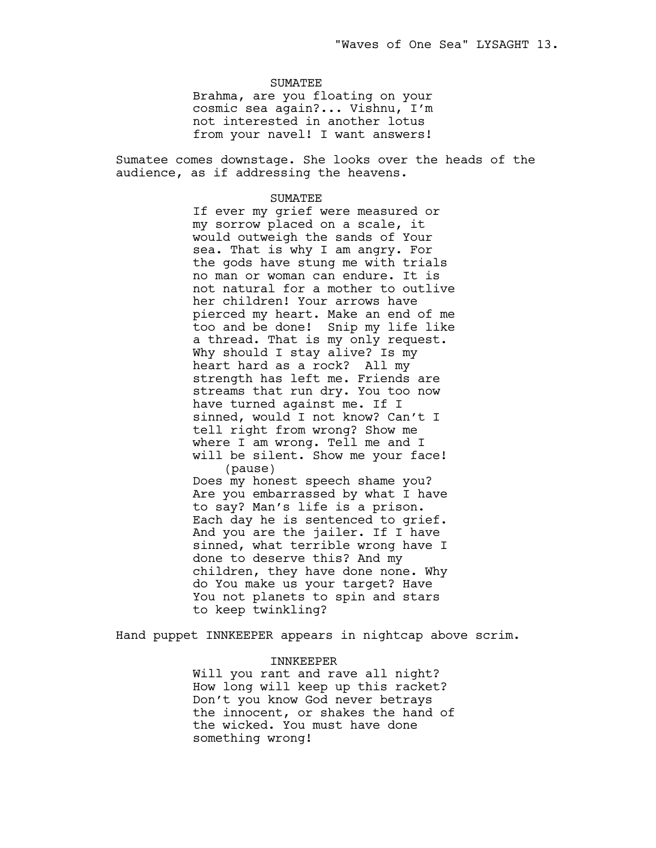## SUMATEE

Brahma, are you floating on your cosmic sea again?... Vishnu, I'm not interested in another lotus from your navel! I want answers!

Sumatee comes downstage. She looks over the heads of the audience, as if addressing the heavens.

#### SUMATEE

If ever my grief were measured or my sorrow placed on a scale, it would outweigh the sands of Your sea. That is why I am angry. For the gods have stung me with trials no man or woman can endure. It is not natural for a mother to outlive her children! Your arrows have pierced my heart. Make an end of me too and be done! Snip my life like a thread. That is my only request. Why should I stay alive? Is my heart hard as a rock? All my strength has left me. Friends are streams that run dry. You too now have turned against me. If I sinned, would I not know? Can't I tell right from wrong? Show me where I am wrong. Tell me and I will be silent. Show me your face! (pause) Does my honest speech shame you? Are you embarrassed by what I have to say? Man's life is a prison. Each day he is sentenced to grief. And you are the jailer. If I have sinned, what terrible wrong have I done to deserve this? And my children, they have done none. Why do You make us your target? Have You not planets to spin and stars to keep twinkling?

Hand puppet INNKEEPER appears in nightcap above scrim.

# INNKEEPER

Will you rant and rave all night? How long will keep up this racket? Don't you know God never betrays the innocent, or shakes the hand of the wicked. You must have done something wrong!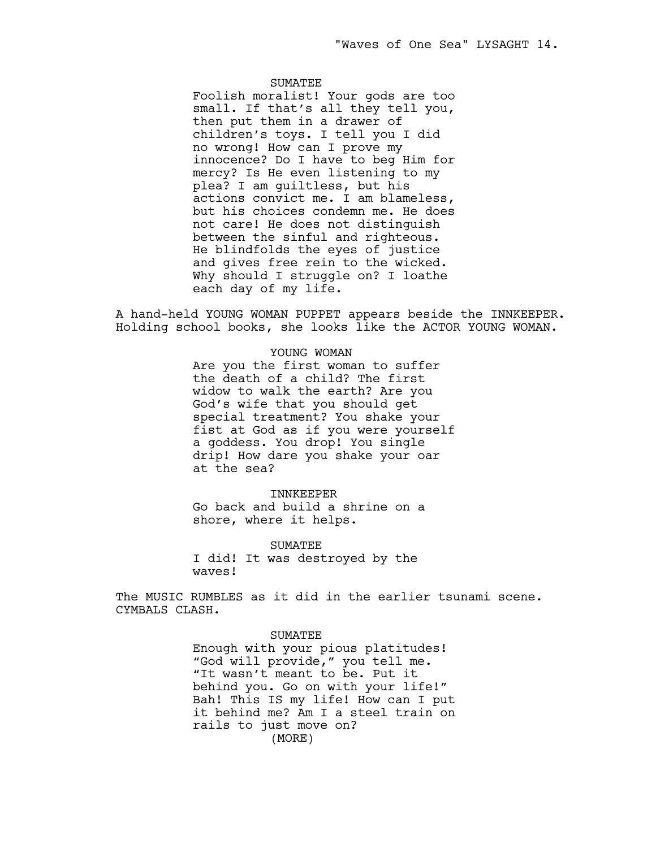# **SUMATEE**

Foolish moralist! Your gods are too small. If that's all they tell you, then put them in a drawer of children's toys. I tell you I did no wrong! How can I prove my innocence? Do I have to beg Him for mercy? Is He even listening to my plea? I am guiltless, but his actions convict me. I am blameless, but his choices condemn me. He does not care! He does not distinguish between the sinful and righteous. He blindfolds the eyes of justice and gives free rein to the wicked. Why should I struggle on? I loathe each day of my life.

A hand-held YOUNG WOMAN PUPPET appears beside the INNKEEPER. Holding school books, she looks like the ACTOR YOUNG WOMAN.

# YOUNG WOMAN

Are you the first woman to suffer the death of a child? The first widow to walk the earth? Are you God's wife that you should get special treatment? You shake your fist at God as if you were yourself a goddess. You drop! You single drip! How dare you shake your oar at the sea?

#### INNKEEPER

Go back and build a shrine on a shore, where it helps.

SUMATEE I did! It was destroyed by the waves!

The MUSIC RUMBLES as it did in the earlier tsunami scene. CYMBALS CLASH.

## SUMATEE

Enough with your pious platitudes! "God will provide," you tell me. "It wasn't meant to be. Put it behind you. Go on with your life!" Bah! This IS my life! How can I put it behind me? Am I a steel train on rails to just move on? (MORE)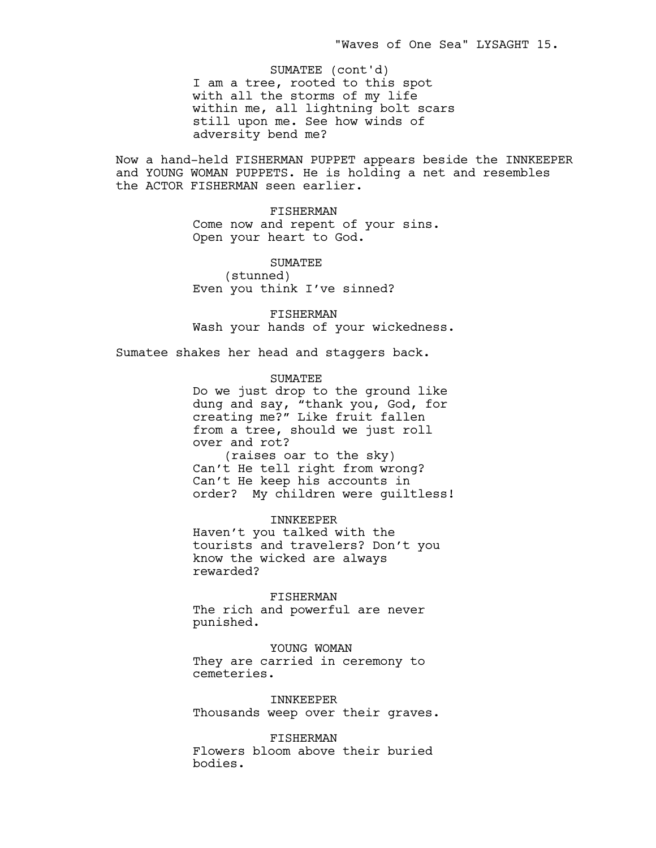I am a tree, rooted to this spot with all the storms of my life within me, all lightning bolt scars still upon me. See how winds of adversity bend me? SUMATEE (cont'd)

Now a hand-held FISHERMAN PUPPET appears beside the INNKEEPER and YOUNG WOMAN PUPPETS. He is holding a net and resembles the ACTOR FISHERMAN seen earlier.

> FISHERMAN Come now and repent of your sins. Open your heart to God.

SUMATEE (stunned) Even you think I've sinned?

FISHERMAN Wash your hands of your wickedness.

Sumatee shakes her head and staggers back.

SUMATEE

Do we just drop to the ground like dung and say, "thank you, God, for creating me?" Like fruit fallen from a tree, should we just roll over and rot? (raises oar to the sky) Can't He tell right from wrong? Can't He keep his accounts in order? My children were guiltless!

INNKEEPER Haven't you talked with the tourists and travelers? Don't you know the wicked are always rewarded?

FISHERMAN The rich and powerful are never punished.

YOUNG WOMAN They are carried in ceremony to cemeteries.

INNKEEPER Thousands weep over their graves.

FISHERMAN Flowers bloom above their buried bodies.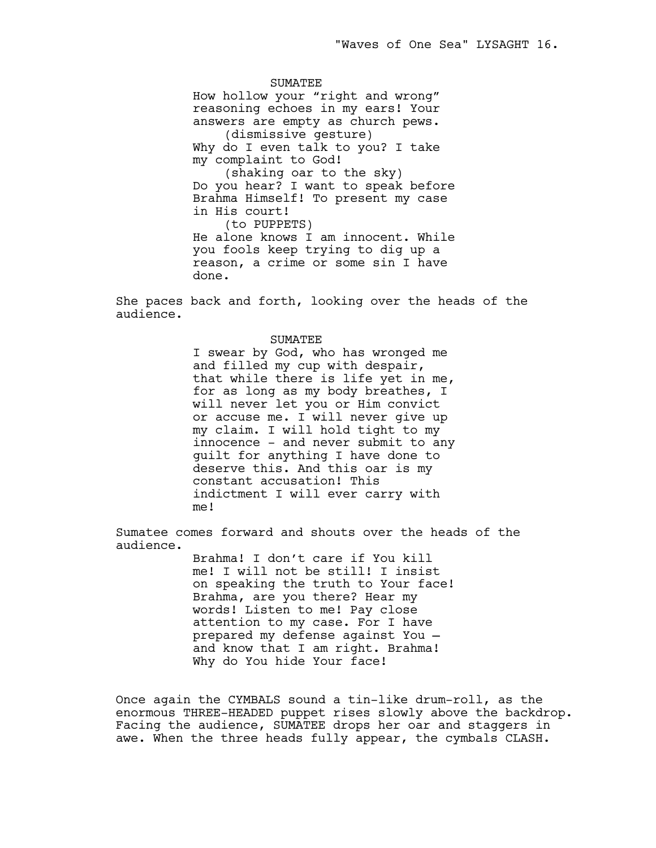SUMATEE How hollow your "right and wrong" reasoning echoes in my ears! Your answers are empty as church pews. (dismissive gesture) Why do I even talk to you? I take my complaint to God! (shaking oar to the sky) Do you hear? I want to speak before Brahma Himself! To present my case in His court! (to PUPPETS) He alone knows I am innocent. While you fools keep trying to dig up a reason, a crime or some sin I have done.

She paces back and forth, looking over the heads of the audience.

### SUMATEE

I swear by God, who has wronged me and filled my cup with despair, that while there is life yet in me, for as long as my body breathes, I will never let you or Him convict or accuse me. I will never give up my claim. I will hold tight to my innocence – and never submit to any guilt for anything I have done to deserve this. And this oar is my constant accusation! This indictment I will ever carry with me!

Sumatee comes forward and shouts over the heads of the audience.

> Brahma! I don't care if You kill me! I will not be still! I insist on speaking the truth to Your face! Brahma, are you there? Hear my words! Listen to me! Pay close attention to my case. For I have prepared my defense against You and know that I am right. Brahma! Why do You hide Your face!

Once again the CYMBALS sound a tin-like drum-roll, as the enormous THREE-HEADED puppet rises slowly above the backdrop. Facing the audience, SUMATEE drops her oar and staggers in awe. When the three heads fully appear, the cymbals CLASH.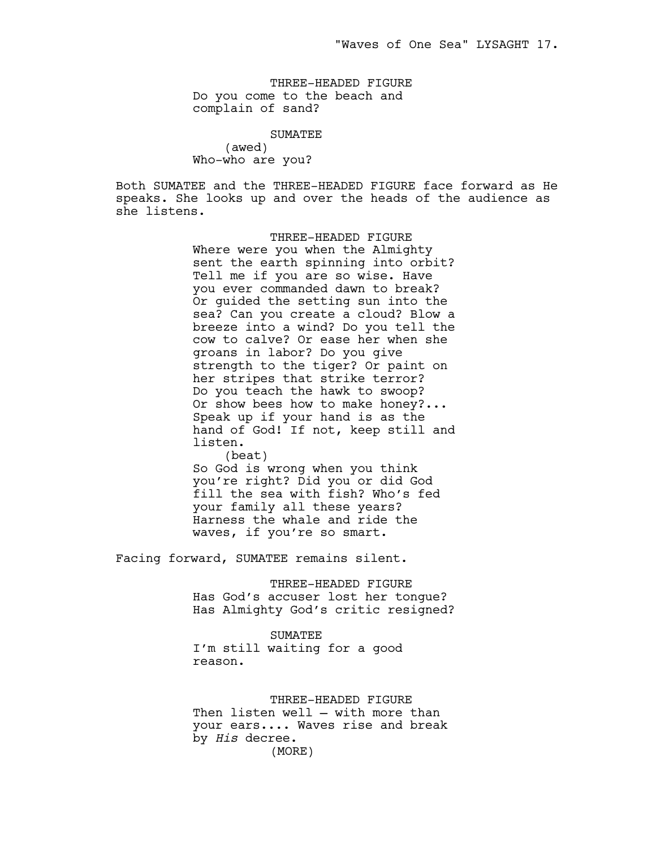THREE-HEADED FIGURE Do you come to the beach and complain of sand?

> SUMATEE (awed)

Who-who are you?

Both SUMATEE and the THREE-HEADED FIGURE face forward as He speaks. She looks up and over the heads of the audience as she listens.

> THREE-HEADED FIGURE Where were you when the Almighty sent the earth spinning into orbit? Tell me if you are so wise. Have you ever commanded dawn to break? Or guided the setting sun into the sea? Can you create a cloud? Blow a breeze into a wind? Do you tell the cow to calve? Or ease her when she groans in labor? Do you give strength to the tiger? Or paint on her stripes that strike terror? Do you teach the hawk to swoop? Or show bees how to make honey?... Speak up if your hand is as the hand of God! If not, keep still and listen.

(beat) So God is wrong when you think you're right? Did you or did God fill the sea with fish? Who's fed your family all these years? Harness the whale and ride the waves, if you're so smart.

Facing forward, SUMATEE remains silent.

THREE-HEADED FIGURE Has God's accuser lost her tongue? Has Almighty God's critic resigned?

SUMATEE I'm still waiting for a good reason.

THREE-HEADED FIGURE Then listen well — with more than your ears.... Waves rise and break by *His* decree. (MORE)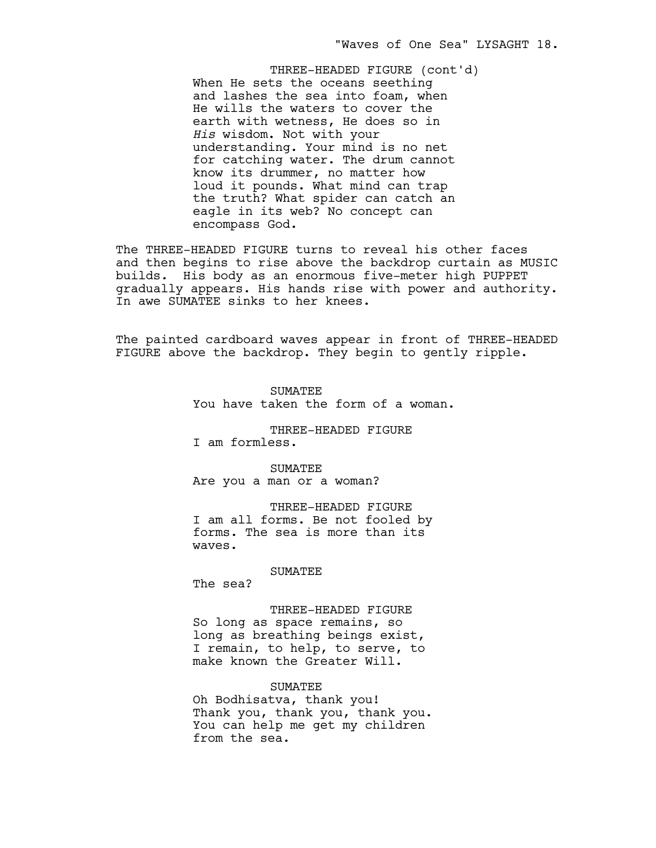When He sets the oceans seething and lashes the sea into foam, when He wills the waters to cover the earth with wetness, He does so in *His* wisdom. Not with your understanding. Your mind is no net for catching water. The drum cannot know its drummer, no matter how loud it pounds. What mind can trap the truth? What spider can catch an eagle in its web? No concept can encompass God. THREE-HEADED FIGURE (cont'd)

The THREE-HEADED FIGURE turns to reveal his other faces and then begins to rise above the backdrop curtain as MUSIC builds. His body as an enormous five-meter high PUPPET gradually appears. His hands rise with power and authority. In awe SUMATEE sinks to her knees.

The painted cardboard waves appear in front of THREE-HEADED FIGURE above the backdrop. They begin to gently ripple.

> **SUMATEE** You have taken the form of a woman.

THREE-HEADED FIGURE I am formless.

SUMATEE Are you a man or a woman?

THREE-HEADED FIGURE I am all forms. Be not fooled by forms. The sea is more than its waves.

SUMATEE

The sea?

THREE-HEADED FIGURE So long as space remains, so long as breathing beings exist, I remain, to help, to serve, to make known the Greater Will.

#### SUMATEE

Oh Bodhisatva, thank you! Thank you, thank you, thank you. You can help me get my children from the sea.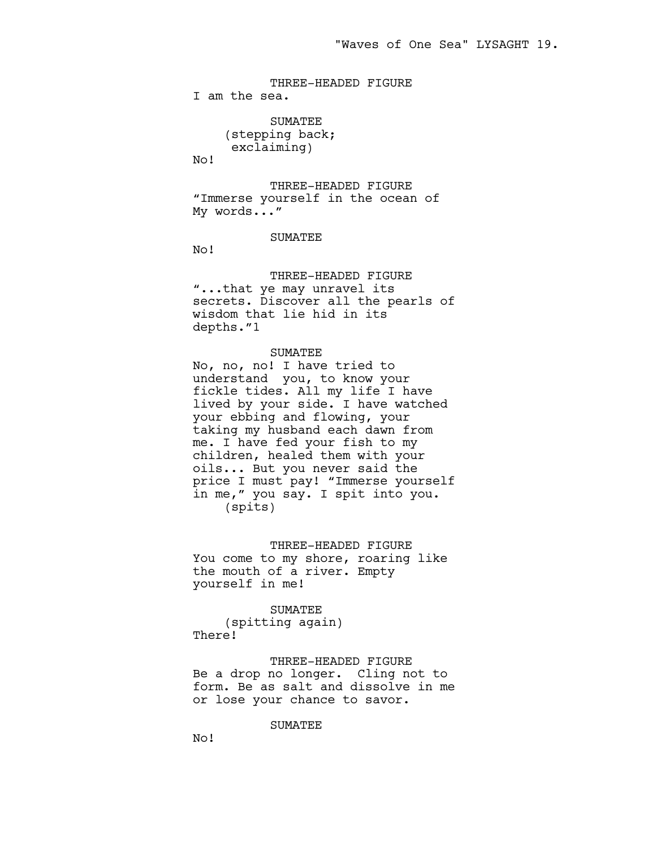THREE-HEADED FIGURE I am the sea.

> SUMATEE (stepping back; exclaiming)

No!

THREE-HEADED FIGURE "Immerse yourself in the ocean of My words..."

### SUMATEE

No!

THREE-HEADED FIGURE "...that ye may unravel its secrets. Discover all the pearls of wisdom that lie hid in its depths."1

#### SUMATEE

No, no, no! I have tried to understand you, to know your fickle tides. All my life I have lived by your side. I have watched your ebbing and flowing, your taking my husband each dawn from me. I have fed your fish to my children, healed them with your oils... But you never said the price I must pay! "Immerse yourself in me," you say. I spit into you. (spits)

#### THREE-HEADED FIGURE

You come to my shore, roaring like the mouth of a river. Empty yourself in me!

#### SUMATEE

(spitting again) There!

THREE-HEADED FIGURE Be a drop no longer. Cling not to form. Be as salt and dissolve in me or lose your chance to savor.

SUMATEE

No!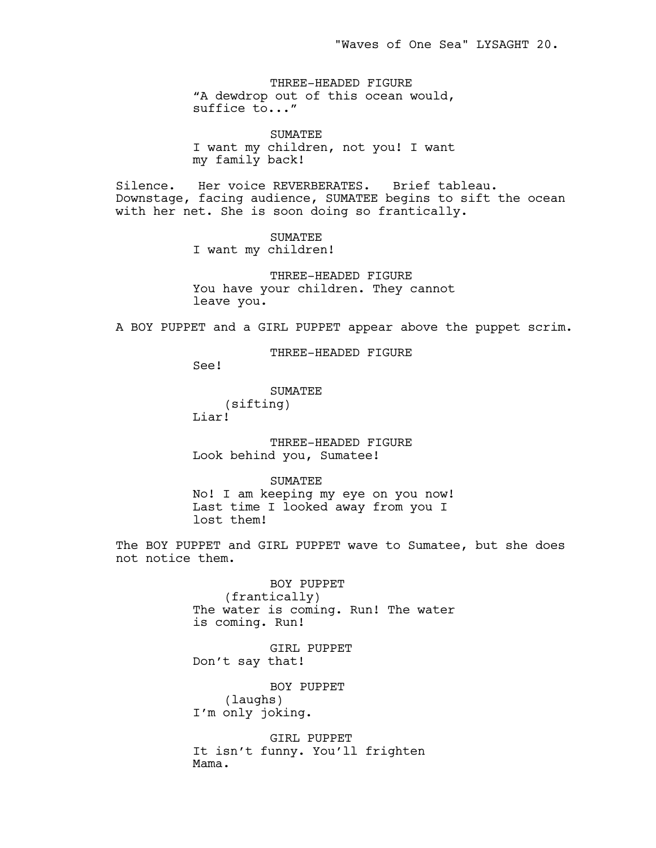THREE-HEADED FIGURE "A dewdrop out of this ocean would, suffice to..."

SUMATEE I want my children, not you! I want my family back!

Silence. Her voice REVERBERATES. Brief tableau. Downstage, facing audience, SUMATEE begins to sift the ocean with her net. She is soon doing so frantically.

> SUMATEE I want my children!

THREE-HEADED FIGURE You have your children. They cannot leave you.

A BOY PUPPET and a GIRL PUPPET appear above the puppet scrim.

THREE-HEADED FIGURE

See!

SUMATEE (sifting) Liar!

THREE-HEADED FIGURE Look behind you, Sumatee!

SUMATEE No! I am keeping my eye on you now! Last time I looked away from you I lost them!

The BOY PUPPET and GIRL PUPPET wave to Sumatee, but she does not notice them.

> BOY PUPPET (frantically) The water is coming. Run! The water is coming. Run!

GIRL PUPPET Don't say that!

BOY PUPPET (laughs) I'm only joking.

GIRL PUPPET It isn't funny. You'll frighten Mama.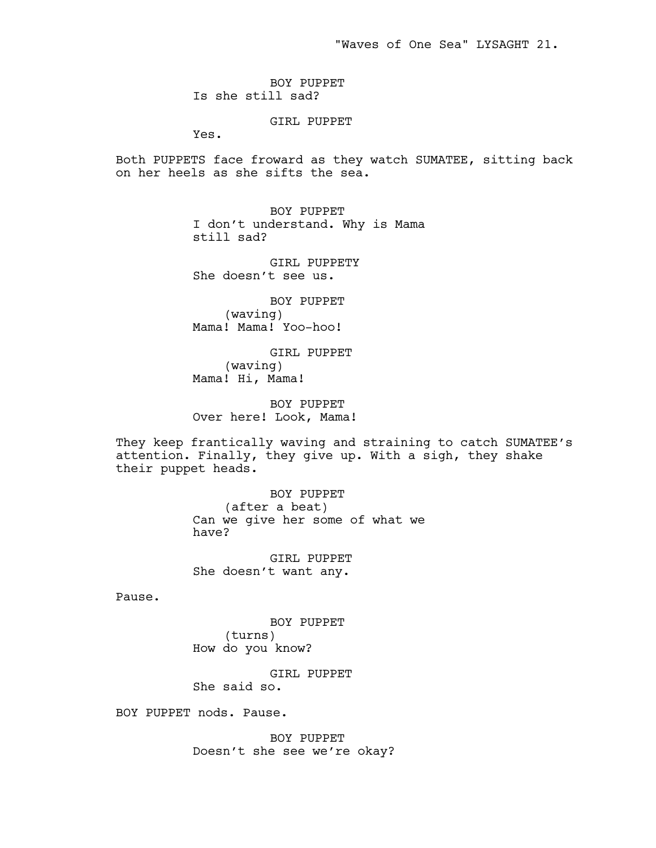"Waves of One Sea" LYSAGHT 21.

BOY PUPPET Is she still sad?

GIRL PUPPET

Yes.

Both PUPPETS face froward as they watch SUMATEE, sitting back on her heels as she sifts the sea.

> BOY PUPPET I don't understand. Why is Mama still sad?

GIRL PUPPETY She doesn't see us.

BOY PUPPET (waving) Mama! Mama! Yoo-hoo!

GIRL PUPPET (waving) Mama! Hi, Mama!

BOY PUPPET Over here! Look, Mama!

They keep frantically waving and straining to catch SUMATEE's attention. Finally, they give up. With a sigh, they shake their puppet heads.

> BOY PUPPET (after a beat) Can we give her some of what we have?

GIRL PUPPET She doesn't want any.

Pause.

BOY PUPPET (turns) How do you know?

GIRL PUPPET She said so.

BOY PUPPET nods. Pause.

BOY PUPPET Doesn't she see we're okay?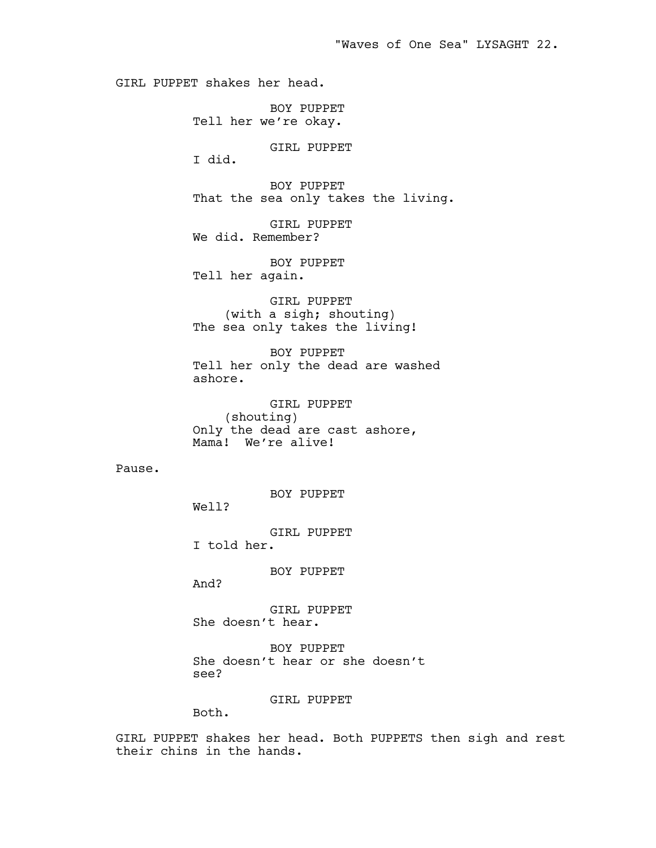GIRL PUPPET shakes her head.

BOY PUPPET Tell her we're okay.

GIRL PUPPET

I did.

BOY PUPPET That the sea only takes the living.

GIRL PUPPET We did. Remember?

BOY PUPPET Tell her again.

GIRL PUPPET (with a sigh; shouting) The sea only takes the living!

BOY PUPPET Tell her only the dead are washed ashore.

GIRL PUPPET (shouting) Only the dead are cast ashore, Mama! We're alive!

Pause.

BOY PUPPET

Well?

GIRL PUPPET I told her.

BOY PUPPET

And?

GIRL PUPPET She doesn't hear.

BOY PUPPET She doesn't hear or she doesn't see?

GIRL PUPPET

Both.

GIRL PUPPET shakes her head. Both PUPPETS then sigh and rest their chins in the hands.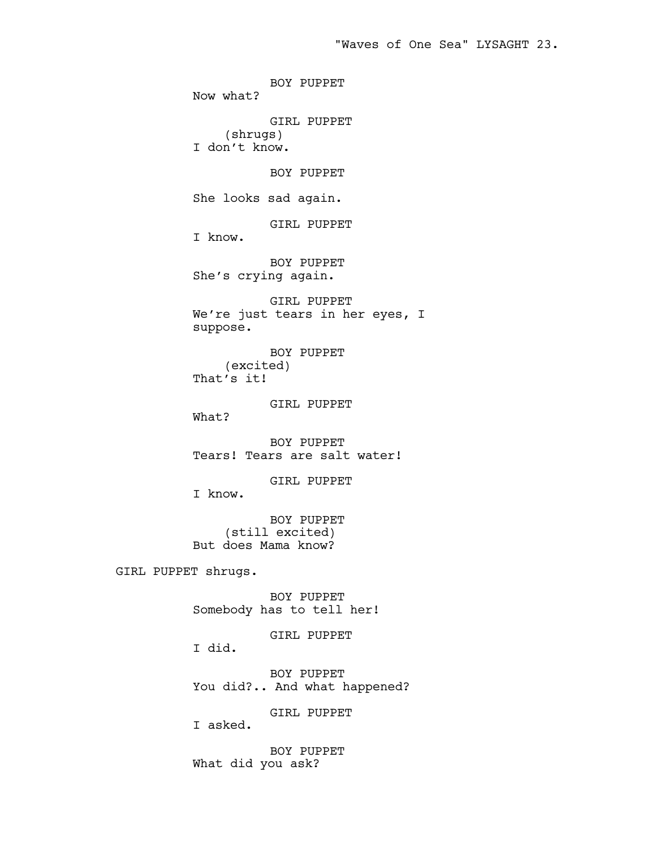BOY PUPPET Now what? GIRL PUPPET (shrugs) I don't know. BOY PUPPET She looks sad again. GIRL PUPPET I know. BOY PUPPET She's crying again. GIRL PUPPET We're just tears in her eyes, I suppose. BOY PUPPET (excited) That's it! GIRL PUPPET What? BOY PUPPET Tears! Tears are salt water! GIRL PUPPET I know. BOY PUPPET (still excited) But does Mama know? GIRL PUPPET shrugs. BOY PUPPET Somebody has to tell her! GIRL PUPPET I did. BOY PUPPET You did?.. And what happened?

GIRL PUPPET

I asked.

BOY PUPPET What did you ask?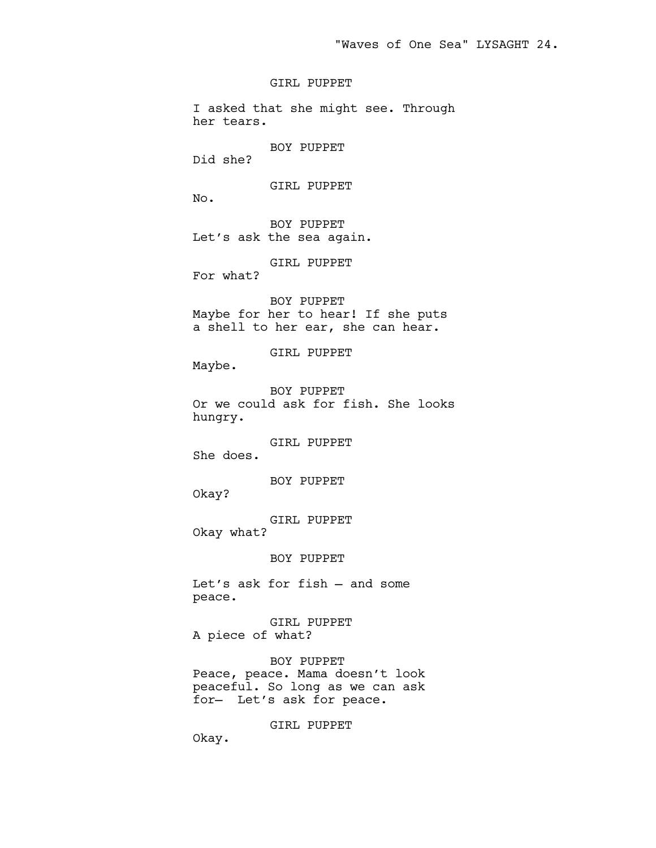GIRL PUPPET

I asked that she might see. Through her tears. BOY PUPPET Did she? GIRL PUPPET No. BOY PUPPET Let's ask the sea again. GIRL PUPPET For what? BOY PUPPET Maybe for her to hear! If she puts a shell to her ear, she can hear. GIRL PUPPET Maybe. BOY PUPPET Or we could ask for fish. She looks hungry. GIRL PUPPET She does. BOY PUPPET Okay? GIRL PUPPET Okay what? BOY PUPPET Let's ask for fish — and some peace. GIRL PUPPET A piece of what? BOY PUPPET Peace, peace. Mama doesn't look peaceful. So long as we can ask for— Let's ask for peace.

GIRL PUPPET

Okay.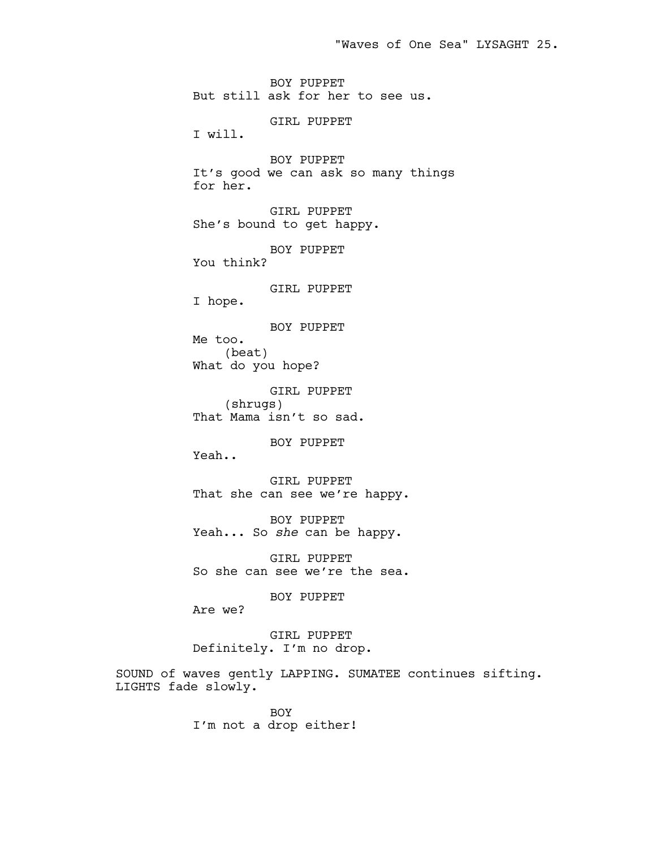BOY PUPPET But still ask for her to see us. GIRL PUPPET I will. BOY PUPPET It's good we can ask so many things for her. GIRL PUPPET She's bound to get happy. BOY PUPPET You think? GIRL PUPPET I hope. BOY PUPPET Me too. (beat) What do you hope? GIRL PUPPET (shrugs) That Mama isn't so sad. BOY PUPPET Yeah.. GIRL PUPPET That she can see we're happy. BOY PUPPET Yeah... So *she* can be happy. GIRL PUPPET So she can see we're the sea. BOY PUPPET

Are we?

GIRL PUPPET Definitely. I'm no drop.

SOUND of waves gently LAPPING. SUMATEE continues sifting. LIGHTS fade slowly.

> BOY I'm not a drop either!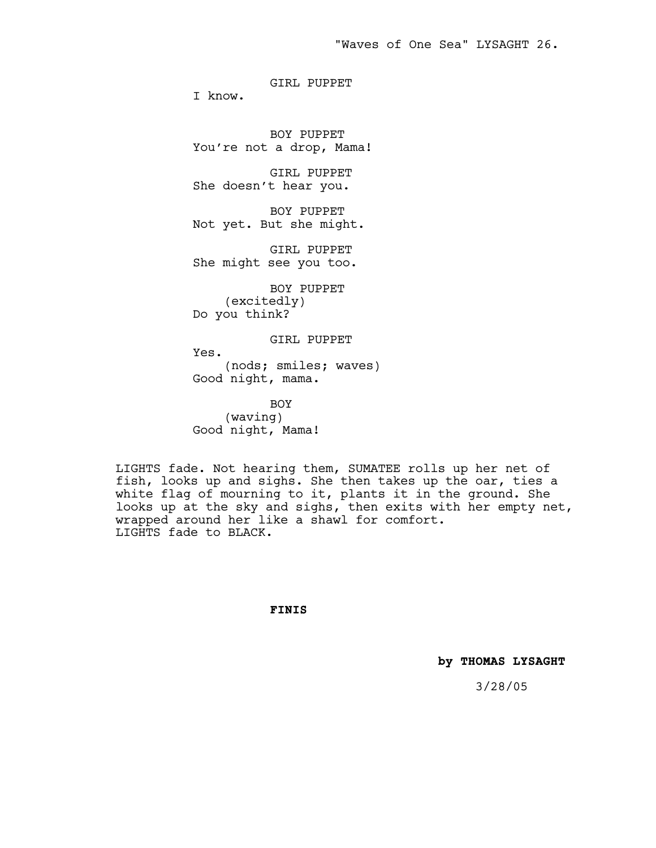GIRL PUPPET

I know.

BOY PUPPET You're not a drop, Mama!

GIRL PUPPET She doesn't hear you.

BOY PUPPET Not yet. But she might.

GIRL PUPPET She might see you too.

BOY PUPPET (excitedly) Do you think?

GIRL PUPPET

Yes. (nods; smiles; waves) Good night, mama.

BOY (waving) Good night, Mama!

LIGHTS fade. Not hearing them, SUMATEE rolls up her net of fish, looks up and sighs. She then takes up the oar, ties a white flag of mourning to it, plants it in the ground. She looks up at the sky and sighs, then exits with her empty net, wrapped around her like a shawl for comfort. LIGHTS fade to BLACK.

**FINIS**

 **by THOMAS LYSAGHT**

3/28/05